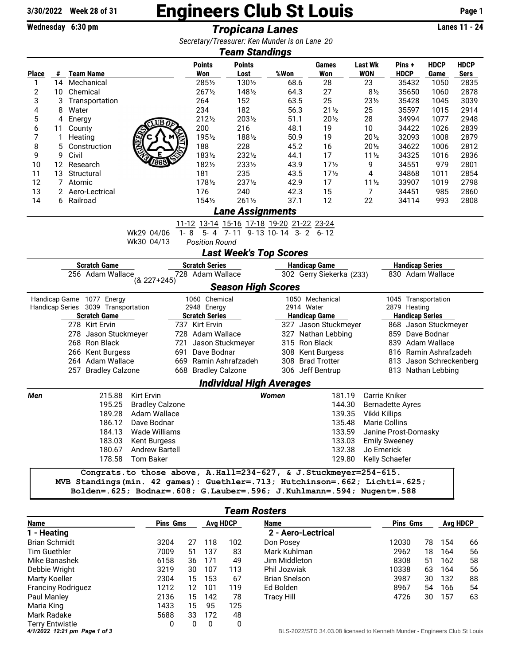## 3/30/2022 Week 28 of 31 **Engineers Club St Louis** Page 1

Wednesday 6:30 pm *Tropicana Lanes* Lanes 11 - 24

*Secretary/Treasurer: Ken Munder is on Lane 11 20*

| <b>Team Standings</b>                     |    |                                     |        |                        |         |                       |                                 |                          |                      |                                                                            |                        |                         |             |             |  |
|-------------------------------------------|----|-------------------------------------|--------|------------------------|---------|-----------------------|---------------------------------|--------------------------|----------------------|----------------------------------------------------------------------------|------------------------|-------------------------|-------------|-------------|--|
|                                           |    |                                     |        |                        |         | <b>Points</b>         | <b>Points</b>                   |                          |                      | Games                                                                      | <b>Last Wk</b>         | Pins +                  | <b>HDCP</b> | <b>HDCP</b> |  |
| <b>Place</b>                              | #  | Team Name                           |        |                        |         | Won                   | Lost                            | %Won                     |                      | <b>Won</b>                                                                 | <b>WON</b>             | <b>HDCP</b>             | Game        | <u>Sers</u> |  |
| 1                                         |    | 14 Mechanical                       |        |                        |         | 2851/2                | 1301/2                          |                          | 68.6                 | 28                                                                         | 23                     | 35432                   | 1050        | 2835        |  |
| $\mathbf{2}$                              | 10 | Chemical                            |        |                        |         | 2671/2                | 1481/2                          |                          | 64.3                 | 27                                                                         | $8\frac{1}{2}$         | 35650                   | 1060        | 2878        |  |
| 3                                         | 3  | Transportation                      |        |                        |         | 264                   | 152                             |                          | 63.5                 | 25                                                                         | $23\frac{1}{2}$        | 35428                   | 1045        | 3039        |  |
| 4                                         | 8  | Water                               |        |                        |         | 234                   | 182                             |                          | 56.3                 | $21\frac{1}{2}$                                                            | 25                     | 35597                   | 1015        | 2914        |  |
| 5                                         | 4  | Energy                              |        | UB                     |         | 2121/2                | 2031/2                          |                          | 51.1                 | 201/2                                                                      | 28                     | 34994                   | 1077        | 2948        |  |
| 6                                         | 11 | County                              |        |                        |         | 200                   | 216                             |                          | 48.1                 | 19                                                                         | 10                     | 34422                   | 1026        | 2839        |  |
| 7                                         | 1  | Heating                             |        |                        |         | 1951/2                | 1881/2                          |                          | 50.9                 | 19                                                                         | 201/2                  | 32093                   | 1008        | 2879        |  |
| 8                                         | 5  | Construction                        |        |                        |         | 188                   | 228                             |                          | 45.2                 | 16                                                                         | $20\%$                 | 34622                   | 1006        | 2812        |  |
| 9                                         | 9  | Civil                               |        |                        |         | 1831/2                | 2321/2                          |                          | 44.1                 | 17                                                                         | $11\frac{1}{2}$        | 34325                   | 1016        | 2836        |  |
| 10                                        | 12 | Research                            |        |                        |         | 1821/2                | 2331/2                          |                          | 43.9                 | 17 <sub>2</sub>                                                            | 9                      | 34551                   | 979         | 2801        |  |
| 11                                        | 13 | Structural                          |        |                        |         | 181                   | 235                             |                          | 43.5                 | 17 <sub>2</sub>                                                            | 4                      | 34868                   | 1011        | 2854        |  |
| 12                                        | 7  | Atomic                              |        |                        |         | 1781/2                | 2371/2                          |                          | 42.9                 | 17                                                                         | $11\frac{1}{2}$        | 33907                   | 1019        | 2798        |  |
| 13                                        |    | 2 Aero-Lectrical                    |        |                        |         | 176                   | 240                             |                          | 42.3                 | 15                                                                         | 7                      | 34451                   | 985         | 2860        |  |
| 14                                        |    | 6 Railroad                          |        |                        |         | $154\%$               | 2611/2                          |                          | 37.1                 | 12                                                                         | 22                     | 34114                   | 993         | 2808        |  |
| <b>Lane Assignments</b>                   |    |                                     |        |                        |         |                       |                                 |                          |                      |                                                                            |                        |                         |             |             |  |
| 11-12 13-14 15-16 17-18 19-20 21-22 23-24 |    |                                     |        |                        |         |                       |                                 |                          |                      |                                                                            |                        |                         |             |             |  |
|                                           |    |                                     |        | Wk29 04/06             | $1 - 8$ |                       | 5-4 7-11 9-13 10-14 3-2 6-12    |                          |                      |                                                                            |                        |                         |             |             |  |
|                                           |    |                                     |        | Wk30 04/13             |         | <b>Position Round</b> |                                 |                          |                      |                                                                            |                        |                         |             |             |  |
|                                           |    |                                     |        |                        |         |                       | <b>Last Week's Top Scores</b>   |                          |                      |                                                                            |                        |                         |             |             |  |
| <b>Scratch Game</b>                       |    |                                     |        |                        |         | <b>Scratch Series</b> |                                 |                          | <b>Handicap Game</b> |                                                                            |                        | <b>Handicap Series</b>  |             |             |  |
| 256 Adam Wallace<br>$(8.227+245)$         |    |                                     |        |                        |         | 728 Adam Wallace      |                                 | 302 Gerry Siekerka (233) |                      |                                                                            |                        | 830 Adam Wallace        |             |             |  |
|                                           |    |                                     |        |                        |         |                       | <b>Season High Scores</b>       |                          |                      |                                                                            |                        |                         |             |             |  |
|                                           |    | Handicap Game 1077 Energy           |        |                        |         | 1060 Chemical         |                                 |                          | 1050 Mechanical      |                                                                            |                        | 1045 Transportation     |             |             |  |
|                                           |    | Handicap Series 3039 Transportation |        |                        |         | 2948 Energy           |                                 | 2914 Water               |                      |                                                                            | 2879 Heating           |                         |             |             |  |
|                                           |    | <b>Scratch Game</b>                 |        |                        |         | <b>Scratch Series</b> |                                 | <b>Handicap Game</b>     |                      |                                                                            | <b>Handicap Series</b> |                         |             |             |  |
|                                           |    | 278 Kirt Ervin                      |        |                        |         | 737 Kirt Ervin        |                                 |                          |                      | 327 Jason Stuckmeyer                                                       |                        | 868 Jason Stuckmeyer    |             |             |  |
|                                           |    | 278 Jason Stuckmeyer                |        |                        |         | 728 Adam Wallace      |                                 |                          |                      | 327 Nathan Lebbing                                                         |                        | 859 Dave Bodnar         |             |             |  |
|                                           |    | 268 Ron Black                       |        |                        | 721     | Jason Stuckmeyer      |                                 |                          |                      | 315 Ron Black                                                              |                        | 839 Adam Wallace        |             |             |  |
|                                           |    | 266 Kent Burgess                    |        |                        | 691     | Dave Bodnar           |                                 |                          |                      | 308 Kent Burgess                                                           |                        | 816 Ramin Ashrafzadeh   |             |             |  |
|                                           |    | 264 Adam Wallace                    |        |                        | 669     | Ramin Ashrafzadeh     |                                 |                          |                      | 308 Brad Trotter                                                           |                        | 813 Jason Schreckenberg |             |             |  |
|                                           |    | 257 Bradley Calzone                 |        |                        |         | 668 Bradley Calzone   |                                 |                          |                      | 306 Jeff Bentrup                                                           |                        | 813 Nathan Lebbing      |             |             |  |
|                                           |    |                                     |        |                        |         |                       | <b>Individual High Averages</b> |                          |                      |                                                                            |                        |                         |             |             |  |
| Men                                       |    |                                     | 215.88 | Kirt Ervin             |         |                       |                                 | Women                    |                      | 181.19                                                                     |                        | Carrie Kniker           |             |             |  |
|                                           |    |                                     | 195.25 | <b>Bradley Calzone</b> |         |                       |                                 |                          |                      | 144.30                                                                     |                        | <b>Bernadette Ayres</b> |             |             |  |
|                                           |    |                                     | 189.28 | Adam Wallace           |         |                       |                                 |                          |                      | 139.35                                                                     | Vikki Killips          |                         |             |             |  |
|                                           |    |                                     | 186.12 | Dave Bodnar            |         |                       |                                 |                          |                      | 135.48                                                                     |                        | <b>Marie Collins</b>    |             |             |  |
|                                           |    |                                     | 184.13 | Wade Williams          |         |                       |                                 |                          |                      | 133.59                                                                     |                        | Janine Prost-Domasky    |             |             |  |
|                                           |    |                                     |        | 183.03 Kent Burgess    |         |                       |                                 |                          |                      | 133.03                                                                     |                        | <b>Emily Sweeney</b>    |             |             |  |
|                                           |    |                                     |        | 180.67 Andrew Bartell  |         |                       |                                 |                          |                      | 132.38                                                                     | Jo Emerick             |                         |             |             |  |
|                                           |    |                                     |        | 178.58 Tom Baker       |         |                       |                                 |                          |                      | 129.80                                                                     |                        | Kelly Schaefer          |             |             |  |
|                                           |    |                                     |        |                        |         |                       |                                 |                          |                      | Congrats.to those above, A.Hall=234-627, & J.Stuckmeyer=254-615.           |                        |                         |             |             |  |
|                                           |    |                                     |        |                        |         |                       |                                 |                          |                      | MVB Standings(min. 42 games): Guethler=.713; Hutchinson=.662; Lichti=.625; |                        |                         |             |             |  |
|                                           |    |                                     |        |                        |         |                       |                                 |                          |                      | Bolden=.625; Bodnar=.608; G.Lauber=.596; J.Kuhlmann=.594; Nugent=.588      |                        |                         |             |             |  |
|                                           |    |                                     |        |                        |         |                       |                                 |                          |                      |                                                                            |                        |                         |             |             |  |

| <b>Team Rosters</b>           |                 |                 |     |      |                                                                            |       |                 |     |    |  |  |
|-------------------------------|-----------------|-----------------|-----|------|----------------------------------------------------------------------------|-------|-----------------|-----|----|--|--|
| Name                          | <b>Pins Gms</b> | <b>Avg HDCP</b> |     | Name | <b>Pins Gms</b>                                                            |       | <b>Avg HDCP</b> |     |    |  |  |
| 1 - Heating                   |                 |                 |     |      | 2 - Aero-Lectrical                                                         |       |                 |     |    |  |  |
| <b>Brian Schmidt</b>          | 3204            | 27              | 118 | 102  | Don Posey                                                                  | 12030 | 78              | 154 | 66 |  |  |
| <b>Tim Guethler</b>           | 7009            | 51              | 137 | 83   | Mark Kuhlman                                                               | 2962  | 18              | 164 | 56 |  |  |
| Mike Banashek                 | 6158            | 36              | 171 | 49   | Jim Middleton                                                              | 8308  | 51              | 162 | 58 |  |  |
| Debbie Wright                 | 3219            | 30              | 107 | 113  | Phil Jozwiak                                                               | 10338 | 63              | 164 | 56 |  |  |
| Marty Koeller                 | 2304            | 15              | 153 | 67   | <b>Brian Snelson</b>                                                       | 3987  | 30              | 132 | 88 |  |  |
| <b>Franciny Rodriguez</b>     | 1212            | 12              | 101 | 119  | Ed Bolden                                                                  | 8967  | 54              | 166 | 54 |  |  |
| Paul Manley                   | 2136            | 15              | 142 | 78   | Tracy Hill                                                                 | 4726  | 30              | 157 | 63 |  |  |
| Maria King                    | 1433            | 15              | 95  | 125  |                                                                            |       |                 |     |    |  |  |
| Mark Radake                   | 5688            | 33              | 172 | 48   |                                                                            |       |                 |     |    |  |  |
| Terry Entwistle               | 0               | 0               |     | 0    |                                                                            |       |                 |     |    |  |  |
| 4/1/2022 12:21 pm Page 1 of 3 |                 |                 |     |      | BLS-2022/STD 34.03.08 licensed to Kenneth Munder - Engineers Club St Louis |       |                 |     |    |  |  |